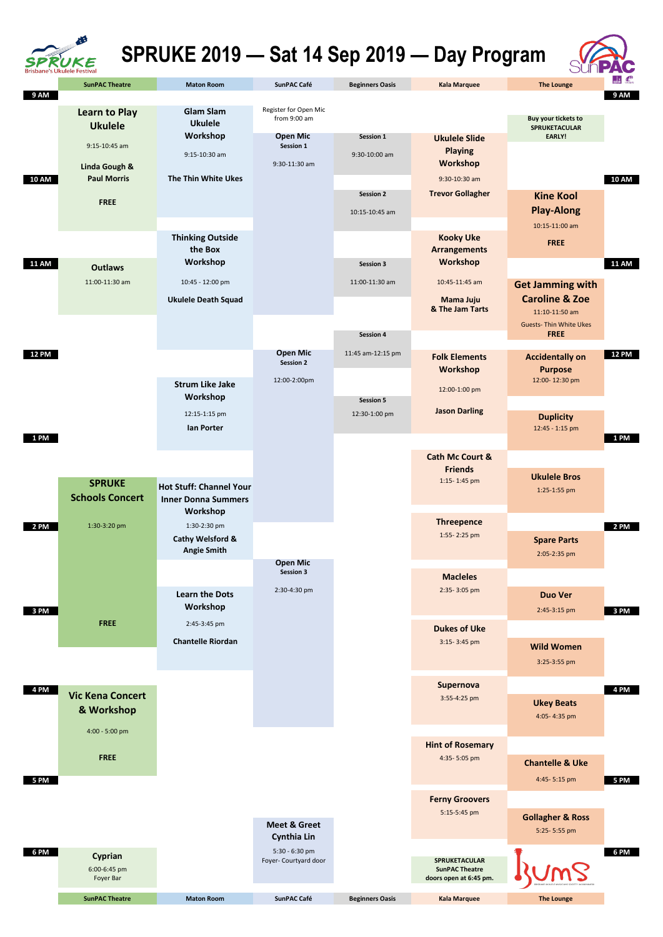|              | <b>SunPAC Theatre</b>                       | <b>Maton Room</b>                                                 | <b>SunPAC Café</b>                            | <b>Beginners Oasis</b>             | <b>Kala Marquee</b>                                | <b>The Lounge</b>                                  | $\mathbf{F}$ |
|--------------|---------------------------------------------|-------------------------------------------------------------------|-----------------------------------------------|------------------------------------|----------------------------------------------------|----------------------------------------------------|--------------|
| 9 AM         |                                             |                                                                   |                                               |                                    |                                                    |                                                    | 9 AM         |
|              | <b>Learn to Play</b><br><b>Ukulele</b>      | <b>Glam Slam</b><br><b>Ukulele</b>                                | Register for Open Mic<br>from 9:00 am         |                                    |                                                    | <b>Buy your tickets to</b><br><b>SPRUKETACULAR</b> |              |
|              | $9:15-10:45$ am<br><b>Linda Gough &amp;</b> | Workshop<br>9:15-10:30 am                                         | <b>Open Mic</b><br>Session 1<br>9:30-11:30 am | Session 1<br>9:30-10:00 am         | <b>Ukulele Slide</b><br><b>Playing</b><br>Workshop | EARLY!                                             |              |
| <b>10 AM</b> | <b>Paul Morris</b>                          | The Thin White Ukes                                               |                                               |                                    | 9:30-10:30 am                                      |                                                    | <b>10 AM</b> |
|              | <b>FREE</b>                                 |                                                                   |                                               | <b>Session 2</b><br>10:15-10:45 am | <b>Trevor Gollagher</b>                            | <b>Kine Kool</b><br><b>Play-Along</b>              |              |
|              |                                             |                                                                   |                                               |                                    |                                                    | 10:15-11:00 am                                     |              |
|              |                                             | <b>Thinking Outside</b><br>the Box                                |                                               |                                    | <b>Kooky Uke</b><br><b>Arrangements</b>            | <b>FREE</b>                                        |              |
| <b>11 AM</b> | <b>Outlaws</b>                              | Workshop                                                          |                                               | Session 3                          | Workshop                                           |                                                    | <b>11 AM</b> |
|              | 11:00-11:30 am                              | 10:45 - 12:00 pm                                                  |                                               | 11:00-11:30 am                     | 10:45-11:45 am                                     | <b>Get Jamming with</b>                            |              |
|              |                                             | <b>Ukulele Death Squad</b>                                        |                                               |                                    | Mama Juju<br>& The Jam Tarts                       | <b>Caroline &amp; Zoe</b><br>11:10-11:50 am        |              |
|              |                                             |                                                                   |                                               | Session 4                          |                                                    | <b>Guests- Thin White Ukes</b><br><b>FREE</b>      |              |
|              |                                             |                                                                   |                                               |                                    |                                                    |                                                    |              |
| <b>12 PM</b> |                                             |                                                                   | <b>Open Mic</b><br><b>Session 2</b>           | 11:45 am-12:15 pm                  | <b>Folk Elements</b><br>Workshop                   | <b>Accidentally on</b><br><b>Purpose</b>           | <b>12 PM</b> |
|              |                                             | <b>Strum Like Jake</b><br>Workshop                                | 12:00-2:00pm                                  | <b>Session 5</b>                   | 12:00-1:00 pm                                      | 12:00-12:30 pm                                     |              |
|              |                                             | 12:15-1:15 pm<br>lan Porter                                       |                                               | 12:30-1:00 pm                      | <b>Jason Darling</b>                               | <b>Duplicity</b><br>12:45 - 1:15 pm                |              |
| 1 PM         |                                             |                                                                   |                                               |                                    |                                                    |                                                    | <b>1 PM</b>  |
|              |                                             |                                                                   |                                               |                                    | <b>Cath Mc Court &amp;</b><br><b>Friends</b>       |                                                    |              |
|              | <b>SPRUKE</b><br><b>Schools Concert</b>     | <b>Hot Stuff: Channel Your</b><br><b>Inner Donna Summers</b>      |                                               |                                    | 1:15-1:45 pm                                       | <b>Ukulele Bros</b><br>1:25-1:55 pm                |              |
|              |                                             | Workshop                                                          |                                               |                                    | <b>Threepence</b>                                  |                                                    |              |
| 2 PM         | 1:30-3:20 pm                                | 1:30-2:30 pm<br><b>Cathy Welsford &amp;</b><br><b>Angie Smith</b> |                                               |                                    | 1:55-2:25 pm                                       | <b>Spare Parts</b>                                 | <b>2 PM</b>  |
|              |                                             |                                                                   | <b>Open Mic</b>                               |                                    |                                                    | 2:05-2:35 pm                                       |              |
|              |                                             |                                                                   | <b>Session 3</b>                              |                                    | <b>Macleles</b>                                    |                                                    |              |
|              |                                             | <b>Learn the Dots</b>                                             | 2:30-4:30 pm                                  |                                    | 2:35-3:05 pm                                       | <b>Duo Ver</b>                                     |              |
| 3 PM         |                                             | Workshop                                                          |                                               |                                    |                                                    | 2:45-3:15 pm                                       | 3 PM         |
|              | <b>FREE</b>                                 | 2:45-3:45 pm<br><b>Chantelle Riordan</b>                          |                                               |                                    | <b>Dukes of Uke</b><br>3:15-3:45 pm                |                                                    |              |
|              |                                             |                                                                   |                                               |                                    |                                                    | <b>Wild Women</b>                                  |              |
|              |                                             |                                                                   |                                               |                                    |                                                    | 3:25-3:55 pm                                       |              |
| 4 PM         | <b>Vic Kena Concert</b>                     |                                                                   |                                               |                                    | <b>Supernova</b>                                   |                                                    | 4 PM         |
|              |                                             |                                                                   |                                               |                                    | 3:55-4:25 pm                                       | <b>Ukey Beats</b>                                  |              |





## **SPRUKE 2019 — Sat 14 Sep 2019 — Day Program**